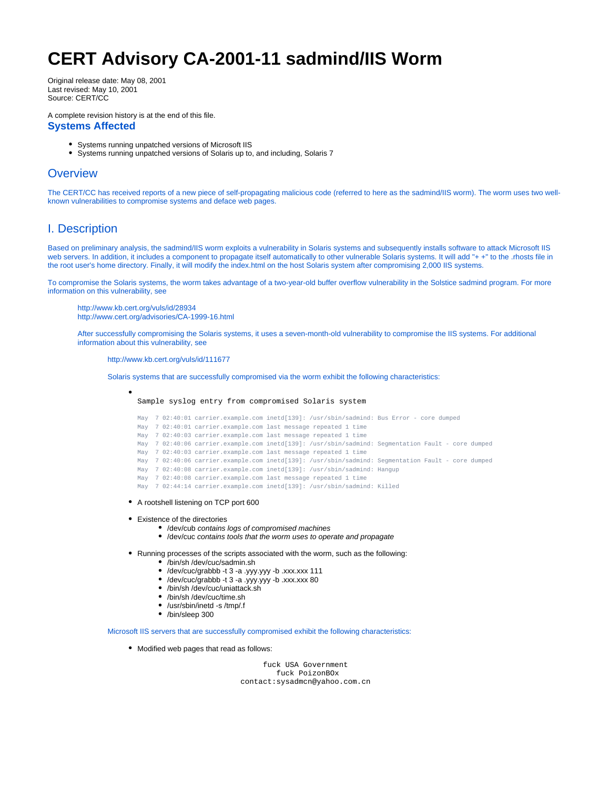# **CERT Advisory CA-2001-11 sadmind/IIS Worm**

Original release date: May 08, 2001 Last revised: May 10, 2001 Source: CERT/CC

A complete revision history is at the end of this file.

#### **Systems Affected**

- Systems running unpatched versions of Microsoft IIS
- Systems running unpatched versions of Solaris up to, and including, Solaris 7

## **Overview**

The CERT/CC has received reports of a new piece of self-propagating malicious code (referred to here as the sadmind/IIS worm). The worm uses two wellknown vulnerabilities to compromise systems and deface web pages.

# I. Description

Based on preliminary analysis, the sadmind/IIS worm exploits a vulnerability in Solaris systems and subsequently installs software to attack Microsoft IIS web servers. In addition, it includes a component to propagate itself automatically to other vulnerable Solaris systems. It will add "+ +" to the .rhosts file in the root user's home directory. Finally, it will modify the index.html on the host Solaris system after compromising 2,000 IIS systems.

To compromise the Solaris systems, the worm takes advantage of a two-year-old buffer overflow vulnerability in the Solstice sadmind program. For more information on this vulnerability, see

<http://www.kb.cert.org/vuls/id/28934> <http://www.cert.org/advisories/CA-1999-16.html>

After successfully compromising the Solaris systems, it uses a seven-month-old vulnerability to compromise the IIS systems. For additional information about this vulnerability, see

<http://www.kb.cert.org/vuls/id/111677>

Solaris systems that are successfully compromised via the worm exhibit the following characteristics:

Sample syslog entry from compromised Solaris system

May 7 02:40:01 carrier.example.com inetd[139]: /usr/sbin/sadmind: Bus Error - core dumped May 7 02:40:01 carrier.example.com last message repeated 1 time May 7 02:40:03 carrier.example.com last message repeated 1 time May 7 02:40:06 carrier.example.com inetd[139]: /usr/sbin/sadmind: Segmentation Fault - core dumped May 7 02:40:03 carrier.example.com last message repeated 1 time May 7 02:40:06 carrier.example.com inetd[139]: /usr/sbin/sadmind: Segmentation Fault - core dumped May 7 02:40:08 carrier.example.com inetd[139]: /usr/sbin/sadmind: Hangup May 7 02:40:08 carrier.example.com last message repeated 1 time May 7 02:44:14 carrier.example.com inetd[139]: /usr/sbin/sadmind: Killed

- A rootshell listening on TCP port 600
- Existence of the directories
	- /dev/cub contains logs of compromised machines
	- /dev/cuc contains tools that the worm uses to operate and propagate
- Running processes of the scripts associated with the worm, such as the following:
	- /bin/sh /dev/cuc/sadmin.sh
	- /dev/cuc/grabbb -t 3 -a .yyy.yyy -b .xxx.xxx 111
	- /dev/cuc/grabbb -t 3 -a .yyy.yyy -b .xxx.xxx 80
	- /bin/sh /dev/cuc/uniattack.sh
	- /bin/sh /dev/cuc/time.sh
	- /usr/sbin/inetd -s /tmp/.f
	- /bin/sleep 300

Microsoft IIS servers that are successfully compromised exhibit the following characteristics:

Modified web pages that read as follows:

 fuck USA Government fuck PoizonBOx contact:sysadmcn@yahoo.com.cn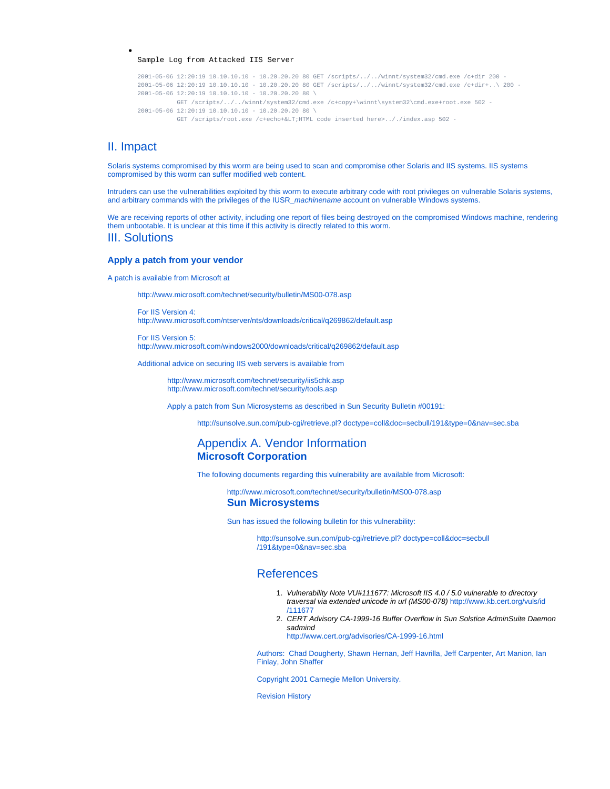#### Sample Log from Attacked IIS Server

```
2001-05-06 12:20:19 10.10.10.10 - 10.20.20.20 80 GET /scripts/../../winnt/system32/cmd.exe /c+dir 200 -
2001-05-06 12:20:19 10.10.10.10 - 10.20.20.20 80 GET /scripts/../../winnt/system32/cmd.exe /c+dir+..\ 200 -
2001-05-06 12:20:19 10.10.10.10 - 10.20.20.20 80 \
          GET /scripts/../../winnt/system32/cmd.exe /c+copy+\winnt\system32\cmd.exe+root.exe 502 -
2001-05-06 12:20:19 10.10.10.10 - 10.20.20.20 80 \
          GET /scripts/root.exe /c+echo+< HTML code inserted here>.././index.asp 502 -
```
#### II. Impact

Solaris systems compromised by this worm are being used to scan and compromise other Solaris and IIS systems. IIS systems compromised by this worm can suffer modified web content.

Intruders can use the vulnerabilities exploited by this worm to execute arbitrary code with root privileges on vulnerable Solaris systems, and arbitrary commands with the privileges of the IUSR\_machinename account on vulnerable Windows systems.

We are receiving reports of other activity, including one report of files being destroyed on the compromised Windows machine, rendering them unbootable. It is unclear at this time if this activity is directly related to this worm. III. Solutions

# **Apply a patch from your vendor**

A patch is available from Microsoft at

<http://www.microsoft.com/technet/security/bulletin/MS00-078.asp>

For IIS Version 4: <http://www.microsoft.com/ntserver/nts/downloads/critical/q269862/default.asp>

For IIS Version 5: <http://www.microsoft.com/windows2000/downloads/critical/q269862/default.asp>

Additional advice on securing IIS web servers is available from

<http://www.microsoft.com/technet/security/iis5chk.asp> <http://www.microsoft.com/technet/security/tools.asp>

Apply a patch from Sun Microsystems as described in Sun Security Bulletin #00191:

[http://sunsolve.sun.com/pub-cgi/retrieve.pl? doctype=coll&doc=secbull/191&type=0&nav=sec.sba](http://sunsolve.sun.com/pub-cgi/retrieve.pl?doctype=coll&doc=secbull/191&type=0&nav=sec.sba)

## Appendix A. Vendor Information **Microsoft Corporation**

The following documents regarding this vulnerability are available from Microsoft:

<http://www.microsoft.com/technet/security/bulletin/MS00-078.asp>

#### **Sun Microsystems**

Sun has issued the following bulletin for this vulnerability:

[http://sunsolve.sun.com/pub-cgi/retrieve.pl? doctype=coll&doc=secbull](http://sunsolve.sun.com/pub-cgi/retrieve.pl?doctype=coll&doc=secbull/191&type=0&nav=sec.sba) [/191&type=0&nav=sec.sba](http://sunsolve.sun.com/pub-cgi/retrieve.pl?doctype=coll&doc=secbull/191&type=0&nav=sec.sba)

### References

- 1. Vulnerability Note VU#111677: Microsoft IIS 4.0 / 5.0 vulnerable to directory traversal via extended unicode in url (MS00-078) [http://www.kb.cert.org/vuls/id](http://www.kb.cert.org/vuls/id/111677) [/111677](http://www.kb.cert.org/vuls/id/111677)
- 2. CERT Advisory CA-1999-16 Buffer Overflow in Sun Solstice AdminSuite Daemon sadmind

<http://www.cert.org/advisories/CA-1999-16.html>

[Authors:](mailto:cert@cert.org?subject=CA-2001-11%20Feedback%20CERT%2326370) Chad Dougherty, Shawn Hernan, Jeff Havrilla, Jeff Carpenter, Art Manion, Ian Finlay, John Shaffer

Copyright 2001 Carnegie Mellon University.

Revision History